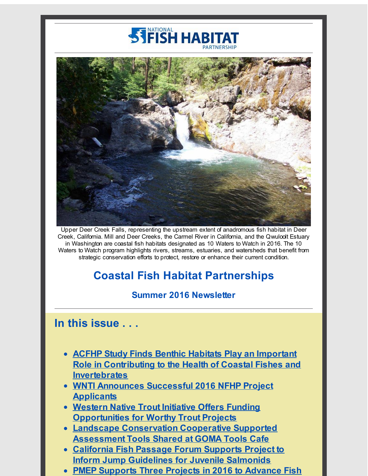# **STEISH HABIT**



Upper Deer Creek Falls, representing the upstream extent of anadromous fish habitat in Deer Creek, California. Mill and Deer Creeks, the Carmel River in California, and the Qwuloolt Estuary in Washington are coastal fish habitats designated as 10 Waters to Watch in 2016. The 10 Waters to Watch program highlights rivers, streams, estuaries, and watersheds that benefit from strategic conservation efforts to protect, restore or enhance their current condition.

# **Coastal Fish Habitat Partnerships**

## **Summer 2016 Newsletter**

# **In this issue . . .**

- **ACFHP Study Finds Benthic Habitats Play an Important Role in Contributing to the Health of Coastal Fishes and [Invertebrates](#page-1-0)**
- **WNTI [Announces](#page-2-0) Successful 2016 NFHP Project Applicants**
- **Western Native Trout Initiative Offers Funding Opportunities for Worthy Trout Projects**
- **Landscape [Conservation](#page-3-0) Cooperative Supported Assessment Tools Shared at GOMA Tools Cafe**
- **California Fish Passage Forum Supports Project to Inform Jump [Guidelines](#page-4-0) for Juvenile Salmonids**
- **PMEP Supports Three Projects in 2016 to Advance Fish**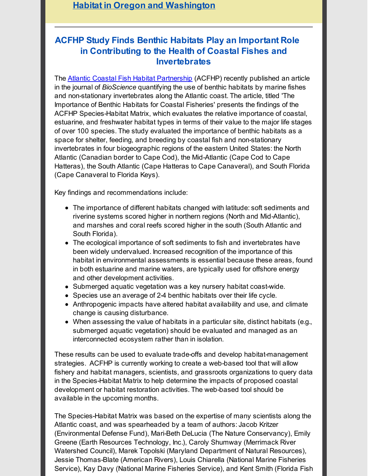### **Habitat in Oregon and [Washington](#page-4-1)**

## <span id="page-1-0"></span>**ACFHP Study Finds Benthic Habitats Play an Important Role in Contributing to the Health of Coastal Fishes and Invertebrates**

The Atlantic Coastal Fish Habitat [Partnership](http://r20.rs6.net/tn.jsp?f=001l9_3qSi6Vn39s9K_Hz_Eu2ekEgiJZIRsqBunjiKag_P6XtDAhRSYVO6zHjTt3wyE73i8OYZd1_u_lZz14d8vv39Pw_0AiiR0vkRR5RYhd1Z47Mc18se6K_y6cSE-MJKpJ0SpsIab5lj3tR9hWLENzGjgvsCLizkfa4xkp38Hef5WSeVs2ykGZuLv4gjzb23E&c=&ch=) (ACFHP) recently published an article in the journal of *BioScience* quantifying the use of benthic habitats by marine fishes and non-stationary invertebrates along the Atlantic coast. The article, titled 'The Importance of Benthic Habitats for Coastal Fisheries' presents the findings of the ACFHP Species-Habitat Matrix, which evaluates the relative importance of coastal, estuarine, and freshwater habitat types in terms of their value to the major life stages of over 100 species. The study evaluated the importance of benthic habitats as a space for shelter, feeding, and breeding by coastal fish and non-stationary invertebrates in four biogeographic regions of the eastern United States: the North Atlantic (Canadian border to Cape Cod), the Mid-Atlantic (Cape Cod to Cape Hatteras), the South Atlantic (Cape Hatteras to Cape Canaveral), and South Florida (Cape Canaveral to Florida Keys).

Key findings and recommendations include:

- The importance of different habitats changed with latitude: soft sediments and riverine systems scored higher in northern regions (North and Mid-Atlantic), and marshes and coral reefs scored higher in the south (South Atlantic and South Florida).
- The ecological importance of soft sediments to fish and invertebrates have been widely undervalued. Increased recognition of the importance of this habitat in environmental assessments is essential because these areas, found in both estuarine and marine waters, are typically used for offshore energy and other development activities.
- Submerged aquatic vegetation was a key nursery habitat coast-wide.
- Species use an average of 2-4 benthic habitats over their life cycle.
- Anthropogenic impacts have altered habitat availability and use, and climate change is causing disturbance.
- When assessing the value of habitats in a particular site, distinct habitats (e.g., submerged aquatic vegetation) should be evaluated and managed as an interconnected ecosystem rather than in isolation.

These results can be used to evaluate trade-offs and develop habitat-management strategies. ACFHP is currently working to create a web-based tool that will allow fishery and habitat managers, scientists, and grassroots organizations to query data in the Species-Habitat Matrix to help determine the impacts of proposed coastal development or habitat restoration activities. The web-based tool should be available in the upcoming months.

The Species-Habitat Matrix was based on the expertise of many scientists along the Atlantic coast, and was spearheaded by a team of authors: Jacob Kritzer (Environmental Defense Fund), Mari-Beth DeLucia (The Nature Conservancy), Emily Greene (Earth Resources Technology, Inc.), Caroly Shumway (Merrimack River Watershed Council), Marek Topolski (Maryland Department of Natural Resources), Jessie Thomas-Blate (American Rivers), Louis Chiarella (National Marine Fisheries Service), Kay Davy (National Marine Fisheries Service), and Kent Smith (Florida Fish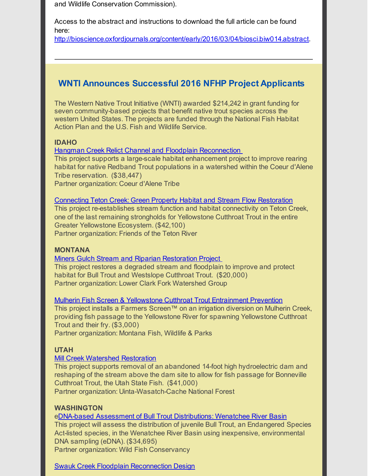and Wildlife Conservation Commission).

Access to the abstract and instructions to download the full article can be found here:

[http://bioscience.oxfordjournals.org/content/early/2016/03/04/biosci.biw014.abstract](http://r20.rs6.net/tn.jsp?f=001l9_3qSi6Vn39s9K_Hz_Eu2ekEgiJZIRsqBunjiKag_P6XtDAhRSYVPOH10l07P634Qhwc2gE6FzREo0Jm5bblascV_PEpZ7_OvcRkxQxi6fFmVyncGhqCGjbc2PMwM1FZAnv19UIQLcwL-pVWYR4iUVb2MhLdxhW7Lxs-NWvVQ8vqt0wPlH4mACs7lPVWgzbtyiAbdZEAoewu7l6RhCk3qiJrQQjcYgDSpoG5jsipBWwBmT5SEV990lSCuA-oZCTCOGriwDjHkk=&c=&ch=).

## <span id="page-2-0"></span>**WNTI Announces Successful 2016 NFHP Project Applicants**

The Western Native Trout Initiative (WNTI) awarded \$214,242 in grant funding for seven community-based projects that benefit native trout species across the western United States. The projects are funded through the National Fish Habitat Action Plan and the U.S. Fish and Wildlife Service.

#### **IDAHO**

Hangman Creek Relict Channel and Floodplain [Reconnection](http://r20.rs6.net/tn.jsp?f=001l9_3qSi6Vn39s9K_Hz_Eu2ekEgiJZIRsqBunjiKag_P6XtDAhRSYVPOH10l07P63cICCyccRspvi37oCsZsBg9-w2N8HIamPs-KrAJArCRC_wu-csOYF1wTEGjYfTA3ghVFVmMuaN9zrS2zETLBnkUTEiZiDlQ7xfDvs-7oCriRpMBF88xRI0cx1p3Omen4izNiEW78wGd_aiOo5ZwidZl04hXypQlLcJ0nY-dDtKuB-YR5D0MaE8les2hjA6zMQ&c=&ch=)

This project supports a large-scale habitat enhancement project to improve rearing habitat for native Redband Trout populations in a watershed within the Coeur d'Alene Tribe reservation. (\$38,447)

Partner organization: Coeur d'Alene Tribe

#### [Connecting](http://r20.rs6.net/tn.jsp?f=001l9_3qSi6Vn39s9K_Hz_Eu2ekEgiJZIRsqBunjiKag_P6XtDAhRSYVPOH10l07P63Pe9FjxD0mnd5CkoL-KYPXoiFdD2f8Q8Ftu9J3fLgAauVMVTkON4V1DyWyCM8jSerkiokU41gxgNK4dIDcHm-UUp5DUIDwGcnl9i7u9QPvnMEST9aXth6yNdDTZcx7bFvf8eF010NOp9oNUvCwydDlv4_5_6J3-wVAOi8ql5zAqnOgqILDRds0ZynLEYFhQBEe6n9d-SJmIw=&c=&ch=) Teton Creek: Green Property Habitat and Stream Flow Restoration

This project re-establishes stream function and habitat connectivity on Teton Creek, one of the last remaining strongholds for Yellowstone Cutthroat Trout in the entire Greater Yellowstone Ecosystem. (\$42,100) Partner organization: Friends of the Teton River

#### **MONTANA**

#### Miners Gulch Stream and Riparian [Restoration](http://r20.rs6.net/tn.jsp?f=001l9_3qSi6Vn39s9K_Hz_Eu2ekEgiJZIRsqBunjiKag_P6XtDAhRSYVPOH10l07P63gW65__Cmp8_tBUa8qGrpdInl5VpnXUlBBXC0XEbVM56uqjVuZwSoCtCSvwwN7r65cKkwC5IOQnFGD_ieyMoX-la1ZFeo0JxYzwZiL43lasL2QMQaX6vi9EGdUS-YZMASgFKwnm5LCdJ2X5l-sGVAFkYT35J0cY5o9ll8WSJu95isZQ_rfdV6gOlLjQcmafvp&c=&ch=) Project

This project restores a degraded stream and floodplain to improve and protect habitat for Bull Trout and Westslope Cutthroat Trout. (\$20,000) Partner organization: Lower Clark Fork Watershed Group

#### Mulherin Fish Screen & Yellowstone Cutthroat Trout [Entrainment](http://r20.rs6.net/tn.jsp?f=001l9_3qSi6Vn39s9K_Hz_Eu2ekEgiJZIRsqBunjiKag_P6XtDAhRSYVPOH10l07P63WRsbeVtUOT60YK-rejAC0UVLIJrwKZLDPYCJgdQZsuCvUq3yiEDusuYt66x-x2PmBgpkgOSl7ub7GNZGmPEd5b3m07Z7dfW066aCW780Azh5xqWwpVzLZMWvghnVUgIDp5Jo8rOAbXFPmNJLgPDsyGckl3xiLSwJqLC8ejUg6LFj9ruCLWYOHRNA8eiAN9CRByjBqygm1q2s181Rzlj4WOpErqFcuWzRnj3vl0PytVpoKO2WbolJyA==&c=&ch=) Prevention

This project installs a Farmers Screen™ on an irrigation diversion on Mulherin Creek, providing fish passage to the Yellowstone River for spawning Yellowstone Cutthroat Trout and their fry. (\$3,000)

Partner organization: Montana Fish, Wildlife & Parks

#### **UTAH**

#### Mill Creek Watershed [Restoration](http://r20.rs6.net/tn.jsp?f=001l9_3qSi6Vn39s9K_Hz_Eu2ekEgiJZIRsqBunjiKag_P6XtDAhRSYVPOH10l07P63YfPSTBs-8YZ9i28IeJAODvxWpsnGmtQODxeC1yBdRrzhticst9eF_pZHBcmyLf6Q_0rB09kvdCV6oIcthRaas800BF3dqzHmF8vsEYMuEnotLm2CCBjKxMybdVQLnZNsFJLnpEKTWl_pSny2BYWrPj_gPzB_hygnoj-b9023IFSWUGtjK2oipDeycXEsAfRd&c=&ch=)

This project supports removal of an abandoned 14-foot high hydroelectric dam and reshaping of the stream above the dam site to allow for fish passage for Bonneville Cutthroat Trout, the Utah State Fish. (\$41,000)

Partner organization: Uinta-Wasatch-Cache National Forest

#### **WASHINGTON**

eDNA-based Assessment of Bull Trout [Distributions:](http://r20.rs6.net/tn.jsp?f=001l9_3qSi6Vn39s9K_Hz_Eu2ekEgiJZIRsqBunjiKag_P6XtDAhRSYVPOH10l07P63O_N14r8h1CFXMquS_Y5oDAawAGWJuNEbiYmqtbSM9sWjNdZJ6kDky2KF5KvLVraF9xNvp8FcGalytwcFXqbNvKw7WOQdtuu26S3vx_tCVgLUYH3aWOfiyTS9fMjaMSU9x8IoPnbP0yVkvB-W8ReUX9uaMQV0HVHH9aXBNo4pvmwONK-TSRNRHTbmj2f7v9xszf104GuHu6811tpVKbYRk-feEcA8LImzhOl0FhSGDYDj5CrfDmWcrjBH11yFXBsSsR6BqnvIig4=&c=&ch=) Wenatchee River Basin

This project will assess the distribution of juvenile Bull Trout, an Endangered Species Act-listed species, in the Wenatchee River Basin using inexpensive, environmental DNA sampling (eDNA). (\$34,695)

Partner organization: Wild Fish Conservancy

#### Swauk Creek Floodplain [Reconnection](http://r20.rs6.net/tn.jsp?f=001l9_3qSi6Vn39s9K_Hz_Eu2ekEgiJZIRsqBunjiKag_P6XtDAhRSYVPOH10l07P63cKBSvH1qa1hWw_CiWyqL4VdZDOGgsr1HlR0laWGSeCTwg6-KdiJIz7ihxj7T9Lgz4grTiVe1fWuWbS5fAjj2yky86o12EQzqsPZEBfOS2l4Y4MAolQ1vKc9Q2GBhsNAHx7mkYtZ7FEatotJCPGVplH1FgGNiaiTsrK78xCYpg1Dkq5DGDwJ5Sr6xvZdvGJEdjIl_zPpR-zw_c0g15qYjeyfAv2x9crWXz8Bx-NIKzM4mA_PZFrXaYA==&c=&ch=) Design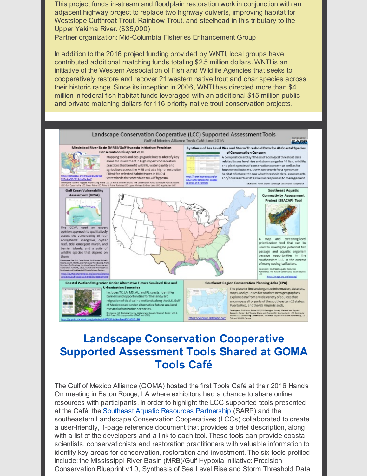This project funds in-stream and floodplain restoration work in conjunction with an adjacent highway project to replace two highway culverts, improving habitat for Westslope Cutthroat Trout, Rainbow Trout, and steelhead in this tributary to the Upper Yakima River. (\$35,000)

Partner organization: Mid-Columbia Fisheries Enhancement Group

In addition to the 2016 project funding provided by WNTI, local groups have contributed additional matching funds totaling \$2.5 million dollars. WNTI is an initiative of the Western Association of Fish and Wildlife Agencies that seeks to cooperatively restore and recover 21 western native trout and char species across their historic range. Since its inception in 2006, WNTI has directed more than \$4 million in federal fish habitat funds leveraged with an additional \$15 million public and private matching dollars for 116 priority native trout conservation projects.



# <span id="page-3-0"></span>**Landscape Conservation Cooperative Supported Assessment Tools Shared at GOMA Tools Café**

The Gulf of Mexico Alliance (GOMA) hosted the first Tools Café at their 2016 Hands On meeting in Baton Rouge, LA where exhibitors had a chance to share online resources with participants. In order to highlight the LCC supported tools presented at the Café, the Southeast Aquatic Resources [Partnership](http://r20.rs6.net/tn.jsp?f=001l9_3qSi6Vn39s9K_Hz_Eu2ekEgiJZIRsqBunjiKag_P6XtDAhRSYVPOH10l07P63gRFBhywu7N0-Xcjr3mbIoYgB0QT9rnMEaA_qlrDlxw-bd6m0Z0o5QKU8uVd50nUbkD4V5rVuFmWy3g5KUgfWbDoAKmT_uGgionn-dRHXv3RJus4NWEbjwg==&c=&ch=) (SARP) and the southeastern Landscape Conservation Cooperatives (LCCs) collaborated to create a user-friendly, 1-page reference document that provides a brief description, along with a list of the developers and a link to each tool. These tools can provide coastal scientists, conservationists and restoration practitioners with valuable information to identify key areas for conservation, restoration and investment. The six tools profiled include: the Mississippi River Basin (MRB)/Gulf Hypoxia Initiative: Precision Conservation Blueprint v1.0, Synthesis of Sea Level Rise and Storm Threshold Data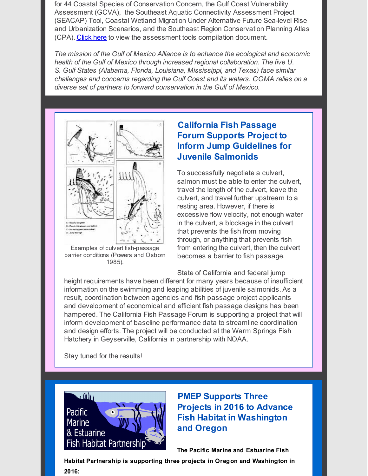for 44 Coastal Species of Conservation Concern, the Gulf Coast Vulnerability Assessment (GCVA), the Southeast Aquatic Connectivity Assessment Project (SEACAP) Tool, Coastal Wetland Migration Under Alternative Future Sea-level Rise and Urbanization Scenarios, and the Southeast Region Conservation Planning Atlas (CPA). [Click](http://r20.rs6.net/tn.jsp?f=001l9_3qSi6Vn39s9K_Hz_Eu2ekEgiJZIRsqBunjiKag_P6XtDAhRSYVPOH10l07P63ipoSs3kPMHupxGvNLGXKqnnEiL4HOaGZtLtdq2EG1ZsNIaaJLj6zWAXAi7cii2xiZO8lSQMi6s11LLgpe8kh7XcORQ0-3g8ipelUdUWWB4t3ssykip1OOiRjY27XsfwipoOHh30fWFtyT7B8QAZg5xwrsG2WujEywc4s3vlhOP7-66_ykigbNKi7jMfCOA6NXHPqJ7MA-zV3WKKqsHZ8rh5GbO2ZrN4TjeRa2hqVlgFuVyXukkovjcL-ncp-r64KWCEYq19iaYDTNY48IJV8pA==&c=&ch=) here to view the assessment tools compilation document.

*The mission of the Gulf of Mexico Alliance is to enhance the ecological and economic health of the Gulf of Mexico through increased regional collaboration. The five U. S. Gulf States (Alabama, Florida, Louisiana, Mississippi, and Texas) face similar challenges and concerns regarding the Gulf Coast and its waters. GOMA relies on a diverse set of partners to forward conservation in the Gulf of Mexico.*



Examples of culvert fish-passage barrier conditions (Powers and Osborn 1985).

# <span id="page-4-0"></span>**California Fish Passage Forum Supports Project to Inform Jump Guidelines for Juvenile Salmonids**

To successfully negotiate a culvert, salmon must be able to enter the culvert, travel the length of the culvert, leave the culvert, and travel further upstream to a resting area. However, if there is excessive flow velocity, not enough water in the culvert, a blockage in the culvert that prevents the fish from moving through, or anything that prevents fish from entering the culvert, then the culvert becomes a barrier to fish passage.

State of California and federal jump height requirements have been different for many years because of insufficient information on the swimming and leaping abilities of juvenile salmonids. As a result, coordination between agencies and fish passage project applicants and development of economical and efficient fish passage designs has been hampered. The California Fish Passage Forum is supporting a project that will inform development of baseline performance data to streamline coordination and design efforts. The project will be conducted at the Warm Springs Fish Hatchery in Geyserville, California in partnership with NOAA.

Stay tuned for the results!



<span id="page-4-1"></span>**PMEP Supports Three Projects in 2016 to Advance Fish Habitat in Washington and Oregon**

**The Pacific Marine and Estuarine Fish**

**Habitat Partnership is supporting three projects in Oregon and Washington in 2016:**